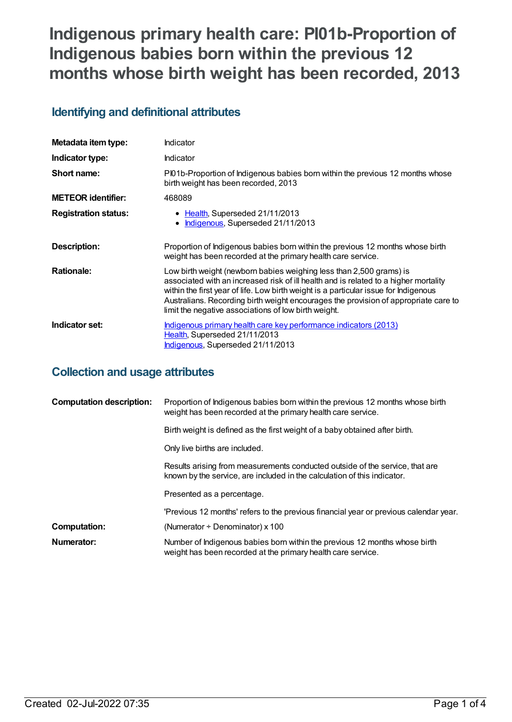# **Indigenous primary health care: PI01b-Proportion of Indigenous babies born within the previous 12 months whose birth weight has been recorded, 2013**

## **Identifying and definitional attributes**

| Metadata item type:         | Indicator                                                                                                                                                                                                                                                                                                                                                                                          |
|-----------------------------|----------------------------------------------------------------------------------------------------------------------------------------------------------------------------------------------------------------------------------------------------------------------------------------------------------------------------------------------------------------------------------------------------|
| Indicator type:             | Indicator                                                                                                                                                                                                                                                                                                                                                                                          |
| Short name:                 | Pl01b-Proportion of Indigenous babies born within the previous 12 months whose<br>birth weight has been recorded, 2013                                                                                                                                                                                                                                                                             |
| <b>METEOR</b> identifier:   | 468089                                                                                                                                                                                                                                                                                                                                                                                             |
| <b>Registration status:</b> | • Health, Superseded 21/11/2013<br>Indigenous, Superseded 21/11/2013                                                                                                                                                                                                                                                                                                                               |
| Description:                | Proportion of Indigenous babies born within the previous 12 months whose birth<br>weight has been recorded at the primary health care service.                                                                                                                                                                                                                                                     |
| <b>Rationale:</b>           | Low birth weight (newborn babies weighing less than 2,500 grams) is<br>associated with an increased risk of ill health and is related to a higher mortality<br>within the first year of life. Low birth weight is a particular issue for Indigenous<br>Australians. Recording birth weight encourages the provision of appropriate care to<br>limit the negative associations of low birth weight. |
| Indicator set:              | <u>Indigenous primary health care key performance indicators (2013)</u><br>Health, Superseded 21/11/2013<br>Indigenous, Superseded 21/11/2013                                                                                                                                                                                                                                                      |

## **Collection and usage attributes**

| <b>Computation description:</b> | Proportion of Indigenous babies born within the previous 12 months whose birth<br>weight has been recorded at the primary health care service.           |
|---------------------------------|----------------------------------------------------------------------------------------------------------------------------------------------------------|
|                                 | Birth weight is defined as the first weight of a baby obtained after birth.                                                                              |
|                                 | Only live births are included.                                                                                                                           |
|                                 | Results arising from measurements conducted outside of the service, that are<br>known by the service, are included in the calculation of this indicator. |
|                                 | Presented as a percentage.                                                                                                                               |
|                                 | 'Previous 12 months' refers to the previous financial year or previous calendar year.                                                                    |
| <b>Computation:</b>             | (Numerator $\div$ Denominator) x 100                                                                                                                     |
| Numerator:                      | Number of Indigenous babies born within the previous 12 months whose birth<br>weight has been recorded at the primary health care service.               |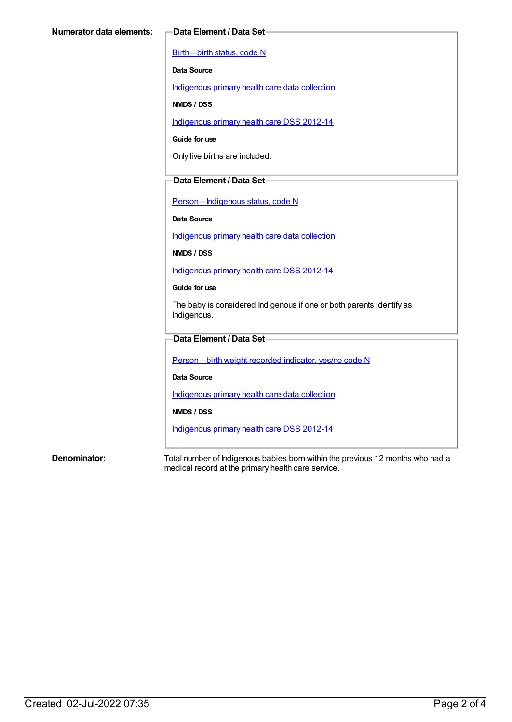[Birth—birth](https://meteor.aihw.gov.au/content/269949) status, code N

**Data Source**

[Indigenous](https://meteor.aihw.gov.au/content/430643) primary health care data collection

**NMDS / DSS**

[Indigenous](https://meteor.aihw.gov.au/content/430629) primary health care DSS 2012-14

**Guide for use**

Only live births are included.

### **Data Element / Data Set**

[Person—Indigenous](https://meteor.aihw.gov.au/content/291036) status, code N

**Data Source**

[Indigenous](https://meteor.aihw.gov.au/content/430643) primary health care data collection

**NMDS / DSS**

[Indigenous](https://meteor.aihw.gov.au/content/430629) primary health care DSS 2012-14

**Guide for use**

The baby is considered Indigenous if one or both parents identify as Indigenous.

### **Data Element / Data Set**

[Person—birth](https://meteor.aihw.gov.au/content/441701) weight recorded indicator, yes/no code N

**Data Source**

[Indigenous](https://meteor.aihw.gov.au/content/430643) primary health care data collection

**NMDS / DSS**

[Indigenous](https://meteor.aihw.gov.au/content/430629) primary health care DSS 2012-14

**Denominator:** Total number of Indigenous babies born within the previous 12 months who had a medical record at the primary health care service.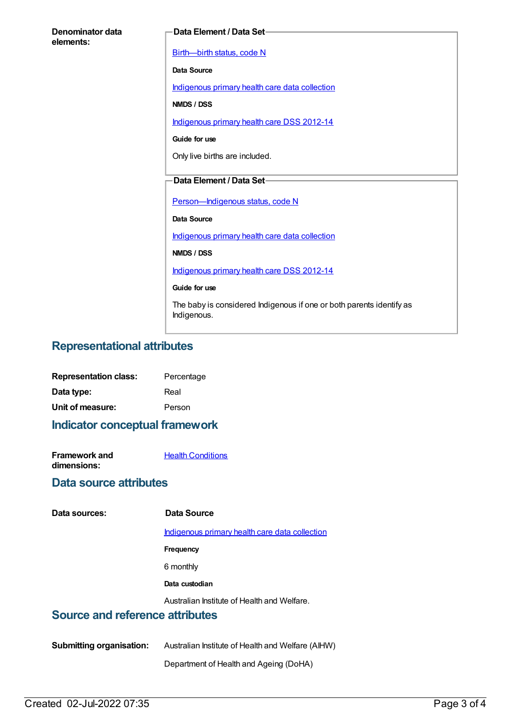| Denominator data<br>elements: | Data Element / Data Set-                                             |
|-------------------------------|----------------------------------------------------------------------|
|                               | Birth-birth status, code N                                           |
|                               | Data Source                                                          |
|                               | Indigenous primary health care data collection                       |
|                               | NMDS / DSS                                                           |
|                               | Indigenous primary health care DSS 2012-14                           |
|                               | Guide for use                                                        |
|                               | Only live births are included.                                       |
|                               | Data Element / Data Set-                                             |
|                               |                                                                      |
|                               | Person-Indigenous status, code N<br>Data Source                      |
|                               | Indigenous primary health care data collection                       |
|                               | NMDS / DSS                                                           |
|                               | Indigenous primary health care DSS 2012-14                           |
|                               | Guide for use                                                        |
|                               | The baby is considered Indigenous if one or both parents identify as |
|                               | Indigenous.                                                          |

## **Representational attributes**

| <b>Representation class:</b> | Percentage |
|------------------------------|------------|
| Data type:                   | Real       |
| Unit of measure:             | Person     |

**Indicator conceptual framework**

| <b>Framework and</b> | <b>Health Conditions</b> |
|----------------------|--------------------------|
| dimensions:          |                          |

### **Data source attributes**

### **Data sources: Data Source**

[Indigenous](https://meteor.aihw.gov.au/content/430643) primary health care data collection

- **Frequency**
- 6 monthly
- **Data custodian**

Australian Institute of Health and Welfare.

### **Source and reference attributes**

**Submitting organisation:** Australian Institute of Health and Welfare (AIHW)

Department of Health and Ageing (DoHA)